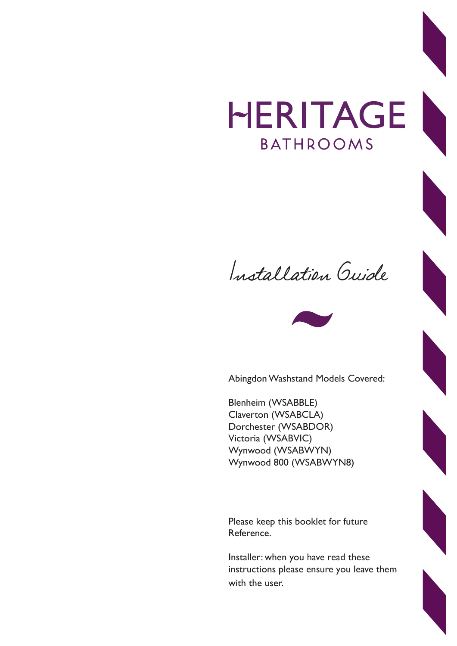## HERITAGE **BATHROOMS**

Installation Guide



Abingdon Washstand Models Covered:

Blenheim (WSABBLE) Claverton (WSABCLA) Dorchester (WSABDOR) Victoria (WSABVIC) Wynwood (WSABWYN) Wynwood 800 (WSABWYN8)

Please keep this booklet for future Reference.

Installer: when you have read these instructions please ensure you leave them with the user.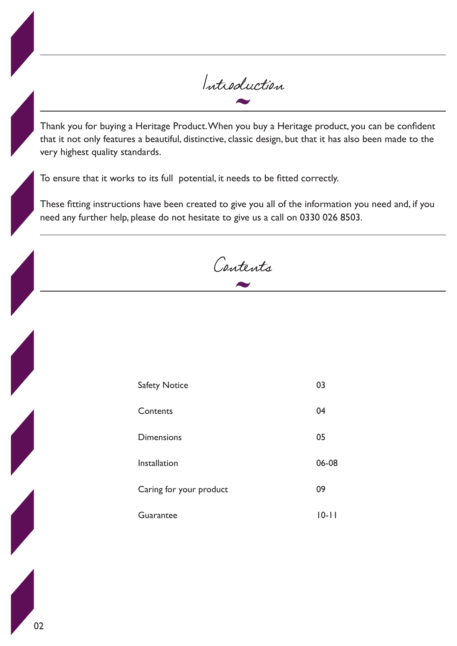Introduction

Thank you for buying a Heritage Product. When you buy a Heritage product, you can be confident that it not only features a beautiful, distinctive, classic design, but that it has also been made to the very highest quality standards.

To ensure that it works to its full potential, it needs to be fitted correctly.

These fitting instructions have been created to give you all of the information you need and, if you need any further help, please do not hesitate to give us a call on 0330 026 8503.

Contents

| <b>Safety Notice</b>    | 03        |
|-------------------------|-----------|
| Contents                | 04        |
| <b>Dimensions</b>       | 05        |
| Installation            | 06-08     |
| Caring for your product | 09        |
| Guarantee               | $10 - 11$ |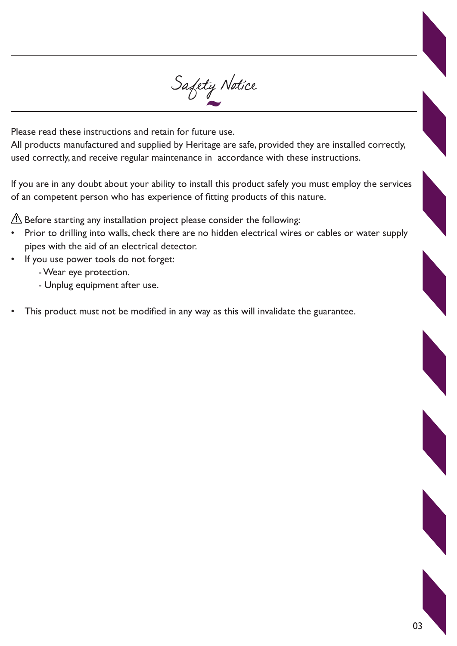

Please read these instructions and retain for future use.

All products manufactured and supplied by Heritage are safe, provided they are installed correctly, used correctly, and receive regular maintenance in accordance with these instructions.

If you are in any doubt about your ability to install this product safely you must employ the services of an competent person who has experience of fitting products of this nature.

 $\triangle$  Before starting any installation project please consider the following:

- Prior to drilling into walls, check there are no hidden electrical wires or cables or water supply pipes with the aid of an electrical detector.
- If you use power tools do not forget:
	- Wear eye protection.
	- Unplug equipment after use.
- This product must not be modified in any way as this will invalidate the guarantee.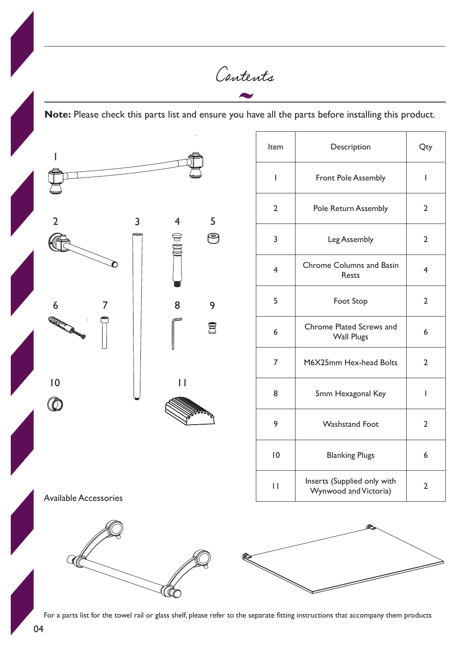Contents **Note:** Please check this parts list and ensure you have all the parts before installing this product. Item Description Qty 1 1 Front Pole Assembly 1 2 Pole Return Assembly 2 2 3 4 5 ၉  $\ominus$ 3 Leg Assembly 2 KIT 4 Chrome Columns and Basin  $\begin{array}{|c|c|c|c|}\n\hline\n\text{Results and basis} & A \\
\hline\n\end{array}$ 5 Foot Stop 2 6 7 || 8 9 6 Chrome Plated Screws and 冒 e riated Screws and 6<br>Wall Plugs 6 7 | M6X25mm Hex-head Bolts | 2 10 11 8 5mm Hexagonal Key 1  $\circledcirc$ 9 | Washstand Foot | 2 10 Blanking Plugs 10 6 11 Inserts (Supplied only with Serus (Supplied Only With 2<br>Wynwood and Victoria) Available Accessories

For a parts list for the towel rail or glass shelf, please refer to the separate fitting instructions that accompany them products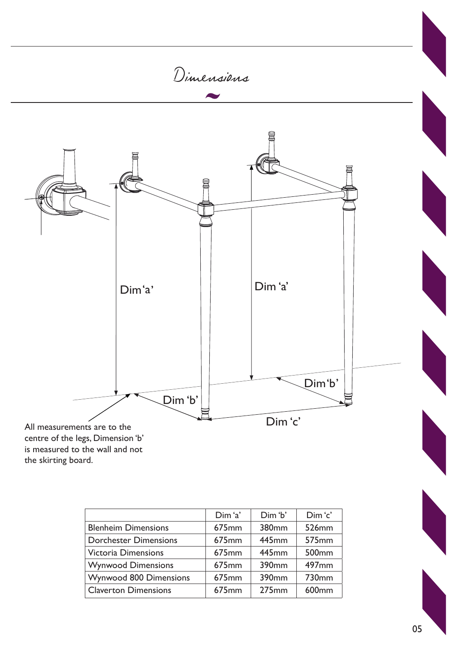

|                              | Dim 'a'           | Dim 'b'           | Dim 'c'           |
|------------------------------|-------------------|-------------------|-------------------|
| <b>Blenheim Dimensions</b>   | 675 <sub>mm</sub> | 380mm             | 526mm             |
| <b>Dorchester Dimensions</b> | 675 <sub>mm</sub> | 445mm             | 575 <sub>mm</sub> |
| <b>Victoria Dimensions</b>   | 675 <sub>mm</sub> | 445mm             | 500 <sub>mm</sub> |
| <b>Wynwood Dimensions</b>    | 675 <sub>mm</sub> | 390 <sub>mm</sub> | 497 <sub>mm</sub> |
| Wynwood 800 Dimensions       | 675mm             | 390mm             | 730 <sub>mm</sub> |
| <b>Claverton Dimensions</b>  | 675 <sub>mm</sub> | 275mm             | 600 <sub>mm</sub> |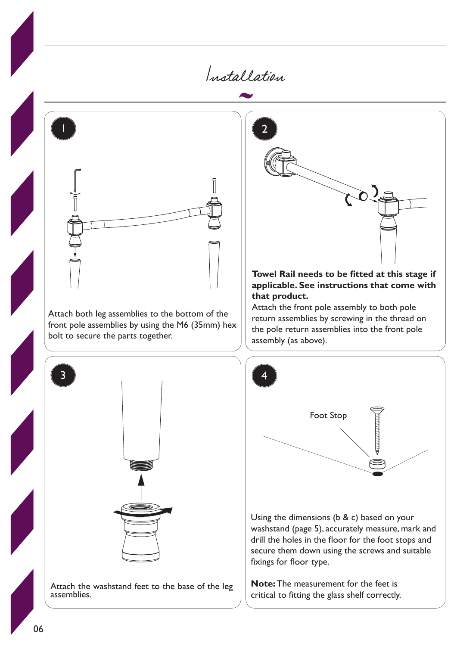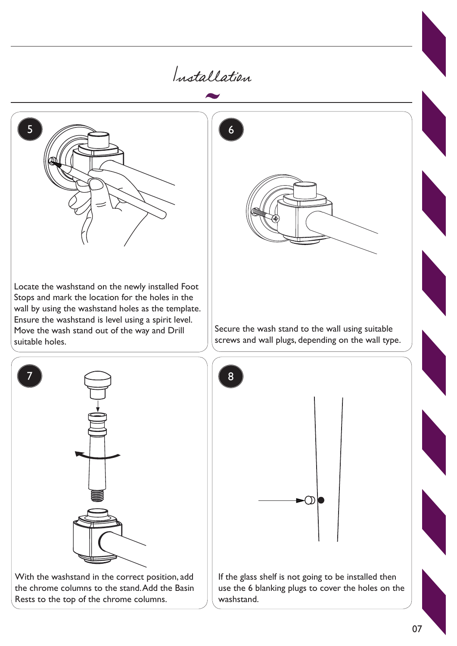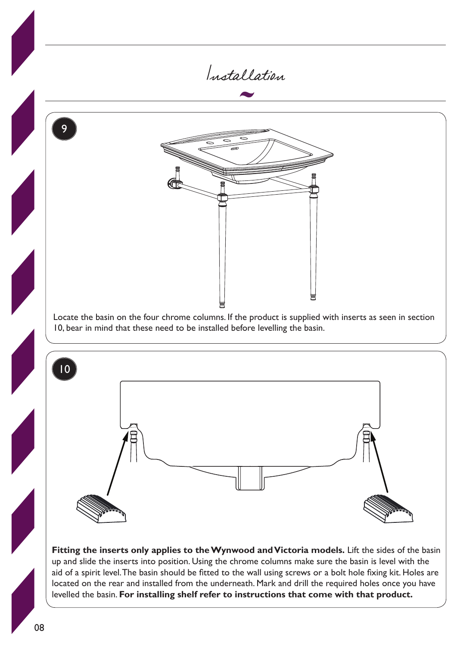

**Fitting the inserts only applies to the Wynwood and Victoria models.** Lift the sides of the basin up and slide the inserts into position. Using the chrome columns make sure the basin is level with the aid of a spirit level. The basin should be fitted to the wall using screws or a bolt hole fixing kit. Holes are located on the rear and installed from the underneath. Mark and drill the required holes once you have levelled the basin. **For installing shelf refer to instructions that come with that product.**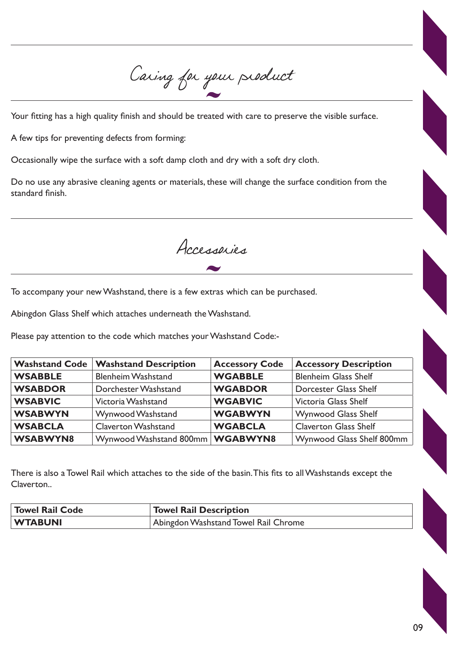Caring for your product

Your fitting has a high quality finish and should be treated with care to preserve the visible surface.

A few tips for preventing defects from forming:

Occasionally wipe the surface with a soft damp cloth and dry with a soft dry cloth.

Do no use any abrasive cleaning agents or materials, these will change the surface condition from the standard finish.

Accessories

To accompany your new Washstand, there is a few extras which can be purchased.

Abingdon Glass Shelf which attaches underneath the Washstand.

Please pay attention to the code which matches your Washstand Code:-

| <b>Washstand Code</b> | <b>Washstand Description</b>       | <b>Accessory Code</b> | <b>Accessory Description</b> |
|-----------------------|------------------------------------|-----------------------|------------------------------|
| <b>WSABBLE</b>        | <b>Blenheim Washstand</b>          | <b>WGABBLE</b>        | <b>Blenheim Glass Shelf</b>  |
| <b>WSABDOR</b>        | Dorchester Washstand               | <b>WGABDOR</b>        | <b>Dorcester Glass Shelf</b> |
| <b>WSABVIC</b>        | Victoria Washstand                 | <b>WGABVIC</b>        | Victoria Glass Shelf         |
| <b>WSABWYN</b>        | Wynwood Washstand                  | <b>WGABWYN</b>        | <b>Wynwood Glass Shelf</b>   |
| <b>WSABCLA</b>        | <b>Claverton Washstand</b>         | <b>WGABCLA</b>        | <b>Claverton Glass Shelf</b> |
| <b>WSABWYN8</b>       | Wynwood Washstand 800mm   WGABWYN8 |                       | Wynwood Glass Shelf 800mm    |

There is also a Towel Rail which attaches to the side of the basin. This fits to all Washstands except the Claverton..

| <b>Towel Rail Code</b> | <b>Towel Rail Description</b>        |  |
|------------------------|--------------------------------------|--|
| <b>WTABUNI</b>         | Abingdon Washstand Towel Rail Chrome |  |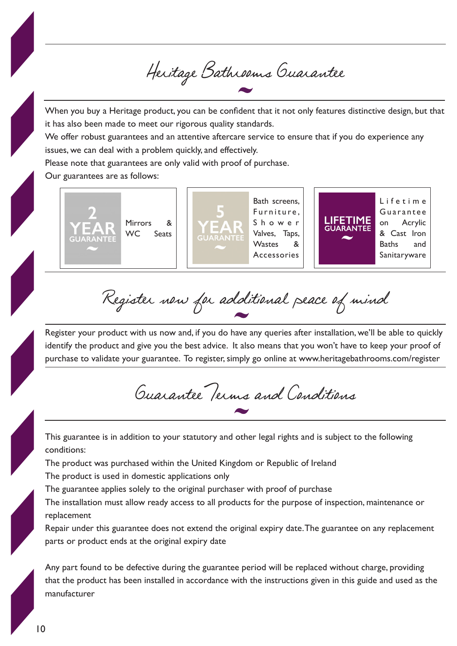Heritage Bathrooms Guarantee

When you buy a Heritage product, you can be confident that it not only features distinctive design, but that it has also been made to meet our rigorous quality standards.

We offer robust guarantees and an attentive aftercare service to ensure that if you do experience any issues, we can deal with a problem quickly, and effectively.

Please note that guarantees are only valid with proof of purchase.

Our guarantees are as follows:



Register now for additional peace of mind

Register your product with us now and, if you do have any queries after installation, we'll be able to quickly identify the product and give you the best advice. It also means that you won't have to keep your proof of purchase to validate your guarantee. To register, simply go online at www.heritagebathrooms.com/register

Guarantee Terms and Conditions

This guarantee is in addition to your statutory and other legal rights and is subject to the following conditions:

The product was purchased within the United Kingdom or Republic of Ireland

The product is used in domestic applications only

The guarantee applies solely to the original purchaser with proof of purchase

The installation must allow ready access to all products for the purpose of inspection, maintenance or replacement

Repair under this guarantee does not extend the original expiry date. The guarantee on any replacement parts or product ends at the original expiry date

Any part found to be defective during the guarantee period will be replaced without charge, providing that the product has been installed in accordance with the instructions given in this guide and used as the manufacturer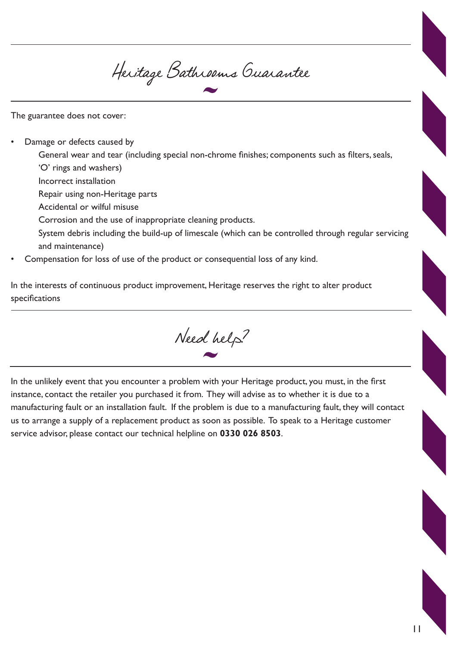Heritage Bathrooms Guarantee

The guarantee does not cover:

• Damage or defects caused by

General wear and tear (including special non-chrome finishes; components such as filters, seals, 'O' rings and washers)

Incorrect installation

Repair using non-Heritage parts

Accidental or wilful misuse

Corrosion and the use of inappropriate cleaning products.

System debris including the build-up of limescale (which can be controlled through regular servicing and maintenance)

• Compensation for loss of use of the product or consequential loss of any kind.

In the interests of continuous product improvement, Heritage reserves the right to alter product specifications

Need help?

In the unlikely event that you encounter a problem with your Heritage product, you must, in the first instance, contact the retailer you purchased it from. They will advise as to whether it is due to a manufacturing fault or an installation fault. If the problem is due to a manufacturing fault, they will contact us to arrange a supply of a replacement product as soon as possible. To speak to a Heritage customer service advisor, please contact our technical helpline on **0330 026 8503**.

11